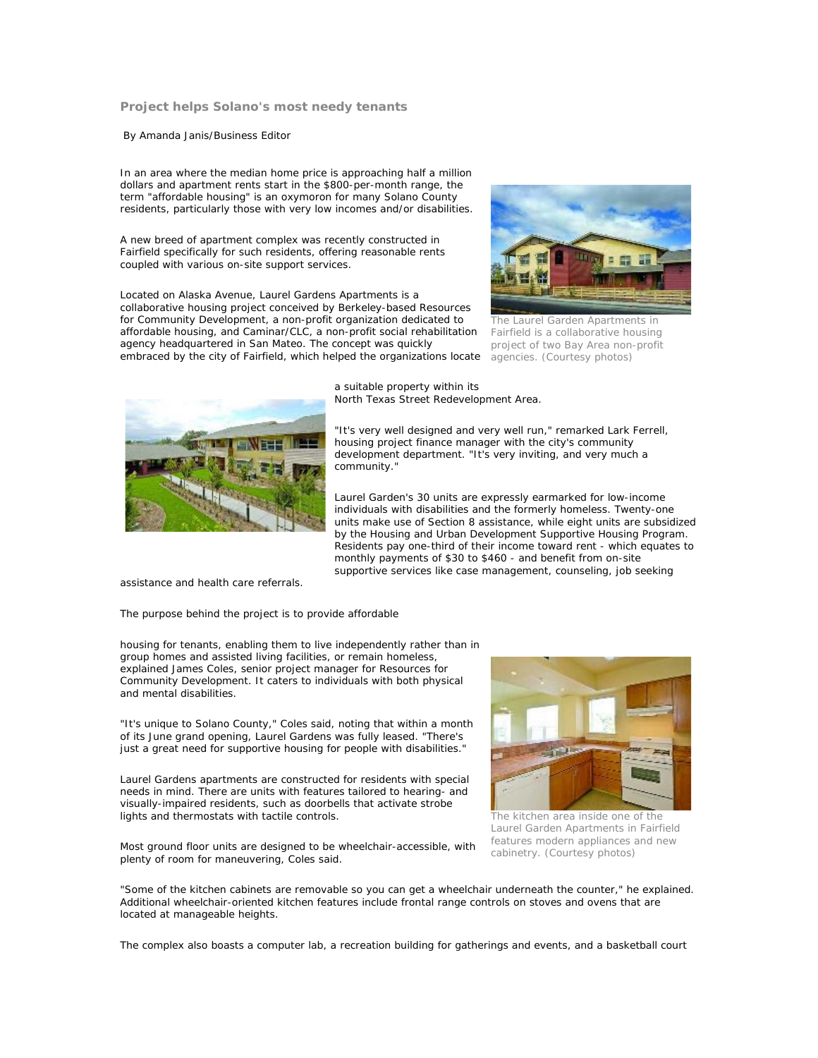## **Project helps Solano's most needy tenants**

By Amanda Janis/Business Editor

In an area where the median home price is approaching half a million dollars and apartment rents start in the \$800-per-month range, the term "affordable housing" is an oxymoron for many Solano County residents, particularly those with very low incomes and/or disabilities.

A new breed of apartment complex was recently constructed in Fairfield specifically for such residents, offering reasonable rents coupled with various on-site support services.

Located on Alaska Avenue, Laurel Gardens Apartments is a collaborative housing project conceived by Berkeley-based Resources for Community Development, a non-profit organization dedicated to affordable housing, and Caminar/CLC, a non-profit social rehabilitation agency headquartered in San Mateo. The concept was quickly embraced by the city of Fairfield, which helped the organizations locate



The Laurel Garden Apartments in Fairfield is a collaborative housing project of two Bay Area non-profit agencies. (Courtesy photos)



a suitable property within its North Texas Street Redevelopment Area.

"It's very well designed and very well run," remarked Lark Ferrell, housing project finance manager with the city's community development department. "It's very inviting, and very much a community."

Laurel Garden's 30 units are expressly earmarked for low-income individuals with disabilities and the formerly homeless. Twenty-one units make use of Section 8 assistance, while eight units are subsidized by the Housing and Urban Development Supportive Housing Program. Residents pay one-third of their income toward rent - which equates to monthly payments of \$30 to \$460 - and benefit from on-site supportive services like case management, counseling, job seeking

assistance and health care referrals.

The purpose behind the project is to provide affordable

housing for tenants, enabling them to live independently rather than in group homes and assisted living facilities, or remain homeless, explained James Coles, senior project manager for Resources for Community Development. It caters to individuals with both physical and mental disabilities.

"It's unique to Solano County," Coles said, noting that within a month of its June grand opening, Laurel Gardens was fully leased. "There's just a great need for supportive housing for people with disabilities."

Laurel Gardens apartments are constructed for residents with special needs in mind. There are units with features tailored to hearing- and visually-impaired residents, such as doorbells that activate strobe lights and thermostats with tactile controls.





The kitchen area inside one of the Laurel Garden Apartments in Fairfield features modern appliances and new cabinetry. (Courtesy photos)

"Some of the kitchen cabinets are removable so you can get a wheelchair underneath the counter," he explained. Additional wheelchair-oriented kitchen features include frontal range controls on stoves and ovens that are located at manageable heights.

The complex also boasts a computer lab, a recreation building for gatherings and events, and a basketball court